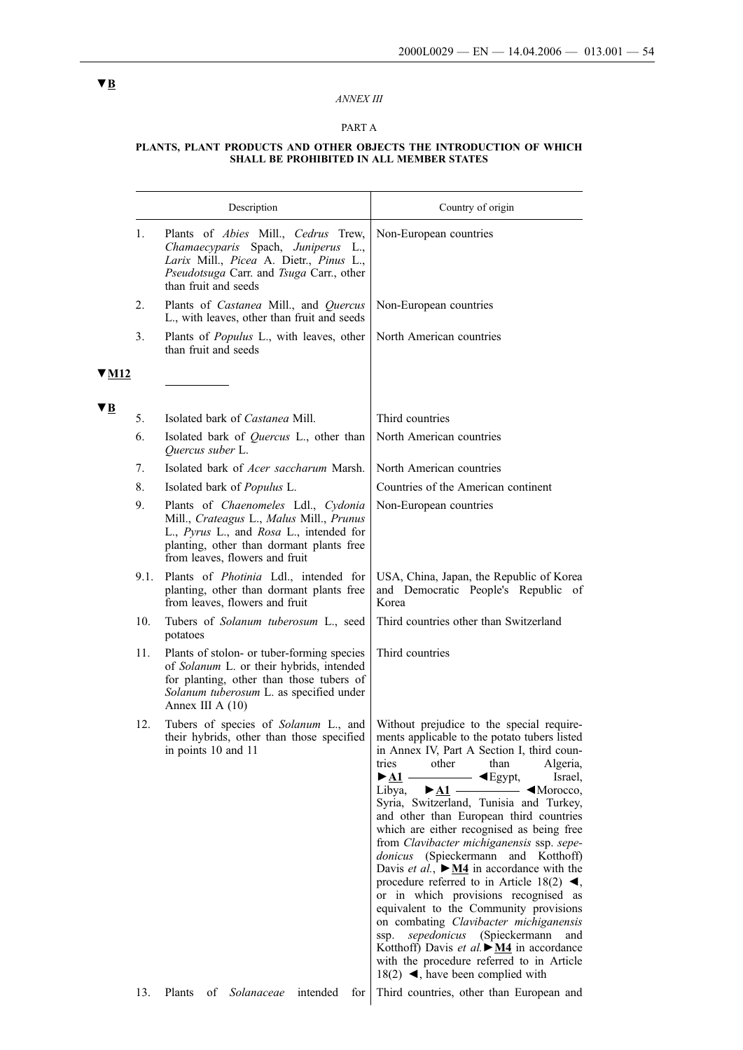### *ANNEX III*

## PART A

#### **PLANTS, PLANT PRODUCTS AND OTHER OBJECTS THE INTRODUCTION OF WHICH SHALL BE PROHIBITED IN ALL MEMBER STATES**

|            |      | Description                                                                                                                                                                                              | Country of origin                                                                                                                                                                                                                                                                                                                                                                                                                                                                                                                                                                                                                                                                                                                                                                                                                                                                                                                                                                                                                                            |
|------------|------|----------------------------------------------------------------------------------------------------------------------------------------------------------------------------------------------------------|--------------------------------------------------------------------------------------------------------------------------------------------------------------------------------------------------------------------------------------------------------------------------------------------------------------------------------------------------------------------------------------------------------------------------------------------------------------------------------------------------------------------------------------------------------------------------------------------------------------------------------------------------------------------------------------------------------------------------------------------------------------------------------------------------------------------------------------------------------------------------------------------------------------------------------------------------------------------------------------------------------------------------------------------------------------|
|            | 1.   | Plants of Abies Mill., Cedrus Trew,<br>Chamaecyparis Spach, Juniperus L.,<br>Larix Mill., Picea A. Dietr., Pinus L.,<br>Pseudotsuga Carr. and Tsuga Carr., other<br>than fruit and seeds                 | Non-European countries                                                                                                                                                                                                                                                                                                                                                                                                                                                                                                                                                                                                                                                                                                                                                                                                                                                                                                                                                                                                                                       |
|            | 2.   | Plants of <i>Castanea</i> Mill., and <i>Quercus</i><br>L., with leaves, other than fruit and seeds                                                                                                       | Non-European countries                                                                                                                                                                                                                                                                                                                                                                                                                                                                                                                                                                                                                                                                                                                                                                                                                                                                                                                                                                                                                                       |
|            | 3.   | Plants of <i>Populus</i> L., with leaves, other<br>than fruit and seeds                                                                                                                                  | North American countries                                                                                                                                                                                                                                                                                                                                                                                                                                                                                                                                                                                                                                                                                                                                                                                                                                                                                                                                                                                                                                     |
| $\Psi$ M12 |      |                                                                                                                                                                                                          |                                                                                                                                                                                                                                                                                                                                                                                                                                                                                                                                                                                                                                                                                                                                                                                                                                                                                                                                                                                                                                                              |
| VВ         | 5.   | Isolated bark of <i>Castanea</i> Mill.                                                                                                                                                                   | Third countries                                                                                                                                                                                                                                                                                                                                                                                                                                                                                                                                                                                                                                                                                                                                                                                                                                                                                                                                                                                                                                              |
|            | 6.   | Isolated bark of <i>Quercus</i> L., other than<br>Quercus suber L.                                                                                                                                       | North American countries                                                                                                                                                                                                                                                                                                                                                                                                                                                                                                                                                                                                                                                                                                                                                                                                                                                                                                                                                                                                                                     |
|            | 7.   | Isolated bark of <i>Acer saccharum</i> Marsh.                                                                                                                                                            | North American countries                                                                                                                                                                                                                                                                                                                                                                                                                                                                                                                                                                                                                                                                                                                                                                                                                                                                                                                                                                                                                                     |
|            | 8.   | Isolated bark of <i>Populus</i> L.                                                                                                                                                                       | Countries of the American continent                                                                                                                                                                                                                                                                                                                                                                                                                                                                                                                                                                                                                                                                                                                                                                                                                                                                                                                                                                                                                          |
|            | 9.   | Plants of Chaenomeles Ldl., Cydonia<br>Mill., Crateagus L., Malus Mill., Prunus<br>L., Pyrus L., and Rosa L., intended for<br>planting, other than dormant plants free<br>from leaves, flowers and fruit | Non-European countries                                                                                                                                                                                                                                                                                                                                                                                                                                                                                                                                                                                                                                                                                                                                                                                                                                                                                                                                                                                                                                       |
|            | 9.1. | Plants of <i>Photinia</i> Ldl., intended for<br>planting, other than dormant plants free<br>from leaves, flowers and fruit                                                                               | USA, China, Japan, the Republic of Korea<br>and Democratic People's Republic of<br>Korea                                                                                                                                                                                                                                                                                                                                                                                                                                                                                                                                                                                                                                                                                                                                                                                                                                                                                                                                                                     |
|            | 10.  | Tubers of Solanum tuberosum L., seed<br>potatoes                                                                                                                                                         | Third countries other than Switzerland                                                                                                                                                                                                                                                                                                                                                                                                                                                                                                                                                                                                                                                                                                                                                                                                                                                                                                                                                                                                                       |
|            | 11.  | Plants of stolon- or tuber-forming species<br>of Solanum L. or their hybrids, intended<br>for planting, other than those tubers of<br>Solanum tuberosum L. as specified under<br>Annex III A $(10)$      | Third countries                                                                                                                                                                                                                                                                                                                                                                                                                                                                                                                                                                                                                                                                                                                                                                                                                                                                                                                                                                                                                                              |
|            | 12.  | Tubers of species of Solanum L., and<br>their hybrids, other than those specified<br>in points 10 and 11                                                                                                 | Without prejudice to the special require-<br>ments applicable to the potato tubers listed<br>in Annex IV, Part A Section I, third coun-<br>than<br>Algeria,<br>tries<br>other<br>$\blacktriangleright$ <u>A1</u> —<br>$\longrightarrow$ $\blacktriangleleft$ Egypt,<br>Israel.<br>Libya, $\blacktriangleright$ A1 $\longrightarrow$ Morocco,<br>Syria, Switzerland, Tunisia and Turkey,<br>and other than European third countries<br>which are either recognised as being free<br>from Clavibacter michiganensis ssp. sepe-<br>donicus (Spieckermann and Kotthoff)<br>Davis et al., $\triangleright$ <u>M4</u> in accordance with the<br>procedure referred to in Article 18(2) $\blacktriangleleft$ ,<br>or in which provisions recognised as<br>equivalent to the Community provisions<br>on combating Clavibacter michiganensis<br>sepedonicus (Spieckermann<br>ssp.<br>and<br>Kotthoff) Davis et al. $\blacktriangleright$ <u>M4</u> in accordance<br>with the procedure referred to in Article<br>18(2) $\blacktriangleleft$ , have been complied with |

13. Plants of *Solanaceae* intended for Third countries, other than European and

# **▼B**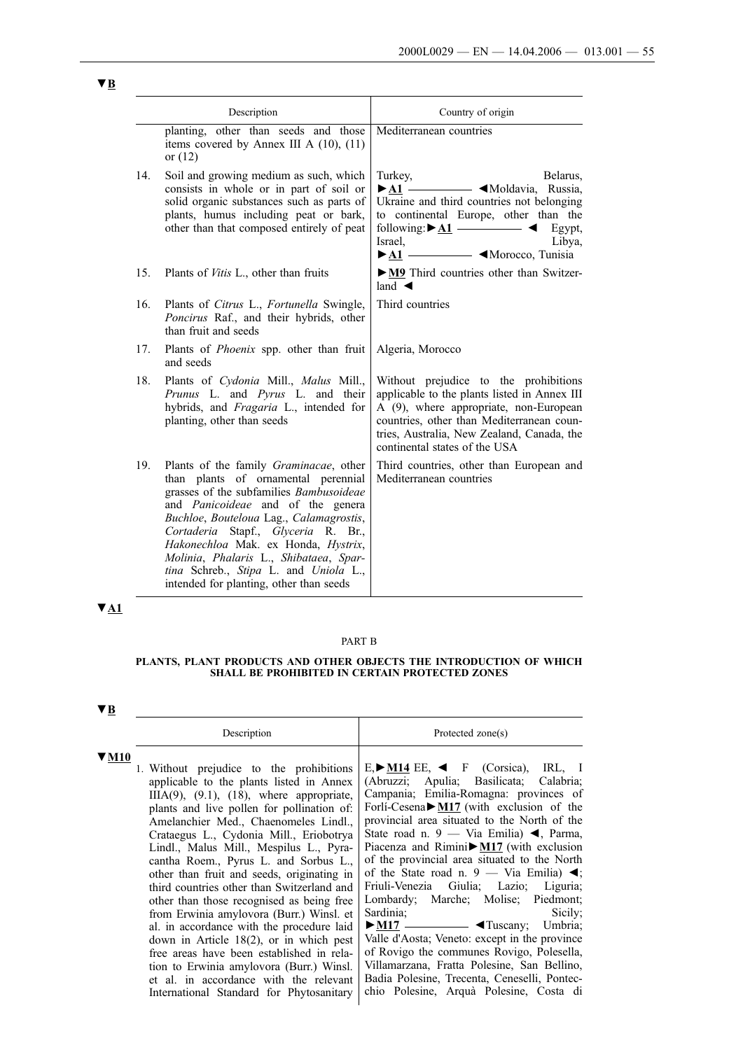| Description |                                                                                                                                                                                                                                                                                                                                                                                                                             | Country of origin                                                                                                                                                                                                                                                                                                                                                        |
|-------------|-----------------------------------------------------------------------------------------------------------------------------------------------------------------------------------------------------------------------------------------------------------------------------------------------------------------------------------------------------------------------------------------------------------------------------|--------------------------------------------------------------------------------------------------------------------------------------------------------------------------------------------------------------------------------------------------------------------------------------------------------------------------------------------------------------------------|
|             | planting, other than seeds and those<br>items covered by Annex III A $(10)$ , $(11)$<br>or $(12)$                                                                                                                                                                                                                                                                                                                           | Mediterranean countries                                                                                                                                                                                                                                                                                                                                                  |
| 14.         | Soil and growing medium as such, which<br>consists in whole or in part of soil or<br>solid organic substances such as parts of<br>plants, humus including peat or bark,<br>other than that composed entirely of peat                                                                                                                                                                                                        | Turkey,<br>Belarus,<br>$\blacktriangleright$ A1 $\longrightarrow$ $\blacktriangleleft$ Moldavia, Russia,<br>Ukraine and third countries not belonging<br>to continental Europe, other than the<br>following: $\triangleright$ <u>A1</u> $\longrightarrow$<br>Egypt,<br>Israel,<br>Libya,<br>$-$ <morocco, tunisia<br=""><math>\blacktriangleright</math> A1 —</morocco,> |
| 15.         | Plants of <i>Vitis</i> L., other than fruits                                                                                                                                                                                                                                                                                                                                                                                | • M9 Third countries other than Switzer-<br>land $\blacktriangleleft$                                                                                                                                                                                                                                                                                                    |
| 16.         | Plants of Citrus L., Fortunella Swingle,<br>Poncirus Raf., and their hybrids, other<br>than fruit and seeds                                                                                                                                                                                                                                                                                                                 | Third countries                                                                                                                                                                                                                                                                                                                                                          |
| 17.         | Plants of <i>Phoenix</i> spp. other than fruit<br>and seeds                                                                                                                                                                                                                                                                                                                                                                 | Algeria, Morocco                                                                                                                                                                                                                                                                                                                                                         |
| 18.         | Plants of Cydonia Mill., Malus Mill.,<br>Prunus L. and Pyrus L. and their<br>hybrids, and Fragaria L., intended for<br>planting, other than seeds                                                                                                                                                                                                                                                                           | Without prejudice to the prohibitions<br>applicable to the plants listed in Annex III<br>A (9), where appropriate, non-European<br>countries, other than Mediterranean coun-<br>tries, Australia, New Zealand, Canada, the<br>continental states of the USA                                                                                                              |
| 19.         | Plants of the family Graminacae, other<br>than plants of ornamental perennial<br>grasses of the subfamilies Bambusoideae<br>and <i>Panicoideae</i> and of the genera<br>Buchloe, Bouteloua Lag., Calamagrostis,<br>Cortaderia Stapf., Glyceria R. Br.,<br>Hakonechloa Mak. ex Honda, Hystrix,<br>Molinia, Phalaris L., Shibataea, Spar-<br>tina Schreb., Stipa L. and Uniola L.,<br>intended for planting, other than seeds | Third countries, other than European and<br>Mediterranean countries                                                                                                                                                                                                                                                                                                      |

# **▼A1**

## PART B

### **PLANTS, PLANT PRODUCTS AND OTHER OBJECTS THE INTRODUCTION OF WHICH SHALL BE PROHIBITED IN CERTAIN PROTECTED ZONES**

# **▼B**

| Description                                                                                                                                                                                                                                                                                                                                                                                                                                                                                                                                                                                                                                                                                                                                                                                                                    | Protected zone(s)                                                                                                                                                                                                                                                                                                                                                                                                                                                                                                                                                                                                                                                                                                                                                                                                                                                                                                                                                   |
|--------------------------------------------------------------------------------------------------------------------------------------------------------------------------------------------------------------------------------------------------------------------------------------------------------------------------------------------------------------------------------------------------------------------------------------------------------------------------------------------------------------------------------------------------------------------------------------------------------------------------------------------------------------------------------------------------------------------------------------------------------------------------------------------------------------------------------|---------------------------------------------------------------------------------------------------------------------------------------------------------------------------------------------------------------------------------------------------------------------------------------------------------------------------------------------------------------------------------------------------------------------------------------------------------------------------------------------------------------------------------------------------------------------------------------------------------------------------------------------------------------------------------------------------------------------------------------------------------------------------------------------------------------------------------------------------------------------------------------------------------------------------------------------------------------------|
| 1. Without prejudice to the prohibitions<br>applicable to the plants listed in Annex<br>$IIIA(9)$ , $(9.1)$ , $(18)$ , where appropriate,<br>plants and live pollen for pollination of:<br>Amelanchier Med., Chaenomeles Lindl.,<br>Crataegus L., Cydonia Mill., Eriobotrya<br>Lindl., Malus Mill., Mespilus L., Pyra-<br>cantha Roem., Pyrus L. and Sorbus L.,<br>other than fruit and seeds, originating in<br>third countries other than Switzerland and<br>other than those recognised as being free<br>from Erwinia amylovora (Burr.) Winsl. et<br>al. in accordance with the procedure laid<br>down in Article $18(2)$ , or in which pest<br>free areas have been established in rela-<br>tion to Erwinia amylovora (Burr.) Winsl.<br>et al. in accordance with the relevant<br>International Standard for Phytosanitary | $E, \blacktriangleright$ M14 EE, $\blacktriangleleft$ F (Corsica),<br>IRL, I<br>(Abruzzi; Apulia; Basilicata;<br>Calabria;<br>Campania; Emilia-Romagna: provinces of<br>Forli-Cesena $\triangleright$ M17 (with exclusion of the<br>provincial area situated to the North of the<br>State road n. 9 — Via Emilia) $\blacktriangleleft$ , Parma,<br>Piacenza and Rimini $\triangleright$ M17 (with exclusion<br>of the provincial area situated to the North<br>of the State road n. 9 — Via Emilia) $\blacktriangleleft$ ;<br>Friuli-Venezia Giulia; Lazio; Liguria;<br>Lombardy; Marche; Molise; Piedmont;<br>Sardinia:<br>Sicily;<br>Umbria;<br>$\blacktriangleright$ M17 $\longrightarrow$ $\blacktriangleleft$ Tuscany;<br>Valle d'Aosta; Veneto: except in the province<br>of Rovigo the communes Rovigo, Polesella,<br>Villamarzana, Fratta Polesine, San Bellino,<br>Badia Polesine, Trecenta, Ceneselli, Pontec-<br>chio Polesine, Arquà Polesine, Costa di |

# **▼B**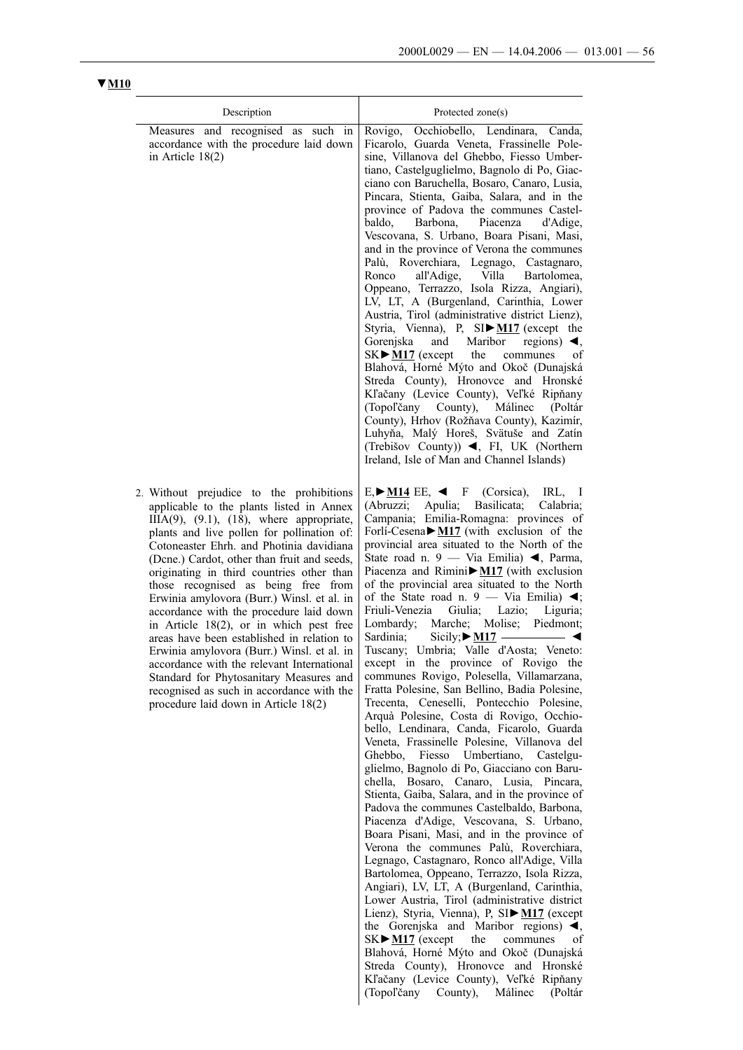| Description                                                                                                                                                                                                                                                                                                                                                                                                                                                                                                                                                                                                                                                                                                                                                                          | Protected zone(s)                                                                                                                                                                                                                                                                                                                                                                                                                                                                                                                                                                                                                                                                                                                                                                                                                                                                                                                                                                                                                                                                                                                                                                                                                           |
|--------------------------------------------------------------------------------------------------------------------------------------------------------------------------------------------------------------------------------------------------------------------------------------------------------------------------------------------------------------------------------------------------------------------------------------------------------------------------------------------------------------------------------------------------------------------------------------------------------------------------------------------------------------------------------------------------------------------------------------------------------------------------------------|---------------------------------------------------------------------------------------------------------------------------------------------------------------------------------------------------------------------------------------------------------------------------------------------------------------------------------------------------------------------------------------------------------------------------------------------------------------------------------------------------------------------------------------------------------------------------------------------------------------------------------------------------------------------------------------------------------------------------------------------------------------------------------------------------------------------------------------------------------------------------------------------------------------------------------------------------------------------------------------------------------------------------------------------------------------------------------------------------------------------------------------------------------------------------------------------------------------------------------------------|
| Measures and recognised as such in<br>accordance with the procedure laid down<br>in Article $18(2)$                                                                                                                                                                                                                                                                                                                                                                                                                                                                                                                                                                                                                                                                                  | Occhiobello, Lendinara, Canda,<br>Rovigo,<br>Ficarolo, Guarda Veneta, Frassinelle Pole-<br>sine, Villanova del Ghebbo, Fiesso Umber-<br>tiano, Castelguglielmo, Bagnolo di Po, Giac-<br>ciano con Baruchella, Bosaro, Canaro, Lusia,<br>Pincara, Stienta, Gaiba, Salara, and in the<br>province of Padova the communes Castel-<br>baldo,<br>Barbona, Piacenza<br>d'Adige,<br>Vescovana, S. Urbano, Boara Pisani, Masi,<br>and in the province of Verona the communes<br>Palù, Roverchiara, Legnago, Castagnaro,<br>all'Adige, Villa<br>Ronco<br>Bartolomea.<br>Oppeano, Terrazzo, Isola Rizza, Angiari),<br>LV, LT, A (Burgenland, Carinthia, Lower<br>Austria, Tirol (administrative district Lienz),<br>Styria, Vienna), P, SI▶M17 (except the<br>Gorenjska<br>and<br>Maribor<br>regions) $\blacktriangleleft$ ,<br>$SK$ $M17$ (except<br>the<br>communes<br>of<br>Blahová, Horné Mýto and Okoč (Dunajská<br>Streda County), Hronovce and Hronské<br>Kľačany (Levice County), Veľké Ripňany<br>Málinec<br>(Topoľčany County),<br>(Poltár<br>County), Hrhov (Rožňava County), Kazimír,<br>Luhyňa, Malý Horeš, Svätuše and Zatín<br>(Trebišov County)) $\blacktriangleleft$ , FI, UK (Northern<br>Ireland, Isle of Man and Channel Islands) |
| 2. Without prejudice to the prohibitions<br>applicable to the plants listed in Annex<br>$IIIA(9)$ , $(9.1)$ , $(18)$ , where appropriate,<br>plants and live pollen for pollination of:<br>Cotoneaster Ehrh. and Photinia davidiana<br>(Dene.) Cardot, other than fruit and seeds,<br>originating in third countries other than<br>those recognised as being free from<br>Erwinia amylovora (Burr.) Winsl. et al. in<br>accordance with the procedure laid down<br>in Article 18(2), or in which pest free<br>areas have been established in relation to<br>Erwinia amylovora (Burr.) Winsl. et al. in<br>accordance with the relevant International<br>Standard for Phytosanitary Measures and<br>recognised as such in accordance with the<br>procedure laid down in Article 18(2) | $E \rightarrow M14$ EE, $\blacktriangleleft$ F<br>(Corsica),<br>IRL.<br>$\blacksquare$<br>Apulia; Basilicata;<br>(Abruzzi;<br>Calabria;<br>Campania; Emilia-Romagna: provinces of<br>Forli-Cesena $\blacktriangleright$ <u>M17</u> (with exclusion of the<br>provincial area situated to the North of the<br>State road n. 9 — Via Emilia) $\blacktriangleleft$ , Parma,<br>Piacenza and Rimini $\triangleright$ M17 (with exclusion<br>of the provincial area situated to the North<br>of the State road n. 9 - Via Emilia) $\blacktriangleleft$ ;<br>Friuli-Venezia<br>Giulia; Lazio;<br>Liguria;<br>Lombardy; Marche; Molise;<br>Piedmont;<br>Sicily; $\triangleright$ <u>M17</u> — $\triangleleft$<br>Sardinia;<br>Tuscany; Umbria; Valle d'Aosta; Veneto:<br>except in the province of Rovigo the<br>communes Rovigo, Polesella, Villamarzana,<br>Fratta Polesine, San Bellino, Badia Polesine,<br>Trecenta, Ceneselli, Pontecchio Polesine,<br>Arquà Polesine, Costa di Rovigo, Occhio-<br>bello, Lendinara, Canda, Ficarolo, Guarda<br>Veneta, Frassinelle Polesine, Villanova del<br>Ghebbo, Fiesso Umbertiano, Castelgu-                                                                                                           |

glielmo, Bagnolo di Po, Giacciano con Baruchella, Bosaro, Canaro, Lusia, Pincara, Stienta, Gaiba, Salara, and in the province of Padova the communes Castelbaldo, Barbona, Piacenza d'Adige, Vescovana, S. Urbano, Boara Pisani, Masi, and in the province of Verona the communes Palù, Roverchiara, Legnago, Castagnaro, Ronco all'Adige, Villa Bartolomea, Oppeano, Terrazzo, Isola Rizza, Angiari), LV, LT, A (Burgenland, Carinthia, Lower Austria, Tirol (administrative district Lienz), Styria, Vienna), P, SI►**M17** (except the Gorenjska and Maribor regions)  $\overline{\blacktriangleleft}$ , SK $\blacktriangleright$  <u>M17</u> (except the communes of  $SK \triangleright M17$  (except the communes Blahová, Horné Mýto and Okoč (Dunajská Streda County), Hronovce and Hronské Kľačany (Levice County), Veľké Ripňany (Topoľčany County), Málinec (Poltár